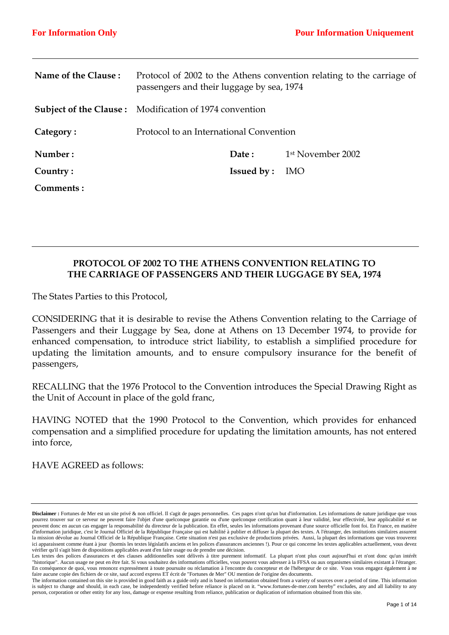| Name of the Clause: | Protocol of 2002 to the Athens convention relating to the carriage of<br>passengers and their luggage by sea, 1974 |  |                               |
|---------------------|--------------------------------------------------------------------------------------------------------------------|--|-------------------------------|
|                     | <b>Subject of the Clause:</b> Modification of 1974 convention                                                      |  |                               |
| Category:           | Protocol to an International Convention                                                                            |  |                               |
| Number:             | Date:                                                                                                              |  | 1 <sup>st</sup> November 2002 |
| Country:            | <b>Issued by:</b>                                                                                                  |  | <b>IMO</b>                    |
| Comments:           |                                                                                                                    |  |                               |

### **PROTOCOL OF 2002 TO THE ATHENS CONVENTION RELATING TO THE CARRIAGE OF PASSENGERS AND THEIR LUGGAGE BY SEA, 1974**

The States Parties to this Protocol,

CONSIDERING that it is desirable to revise the Athens Convention relating to the Carriage of Passengers and their Luggage by Sea, done at Athens on 13 December 1974, to provide for enhanced compensation, to introduce strict liability, to establish a simplified procedure for updating the limitation amounts, and to ensure compulsory insurance for the benefit of passengers,

RECALLING that the 1976 Protocol to the Convention introduces the Special Drawing Right as the Unit of Account in place of the gold franc,

HAVING NOTED that the 1990 Protocol to the Convention, which provides for enhanced compensation and a simplified procedure for updating the limitation amounts, has not entered into force,

HAVE AGREED as follows:

**Disclaimer :** Fortunes de Mer est un site privé & non officiel. Il s'agit de pages personnelles. Ces pages n'ont qu'un but d'information. Les informations de nature juridique que vous pourrez trouver sur ce serveur ne peuvent faire l'objet d'une quelconque garantie ou d'une quelconque certification quant à leur validité, leur effectivité, leur applicabilité et ne peuvent donc en aucun cas engager la responsabilité du directeur de la publication. En effet, seules les informations provenant d'une source officielle font foi. En France, en matière d'information juridique, c'est le Journal Officiel de la République Française qui est habilité à publier et diffuser la plupart des textes. A l'étranger, des institutions similaires assurent la mission dévolue au Journal Officiel de la République Française. Cette situation n'est pas exclusive de productions privées. Aussi, la plupart des informations que vous trouverez ici apparaissent comme étant à jour (hormis les textes législatifs anciens et les polices d'assurances anciennes !). Pour ce qui concerne les textes applicables actuellement, vous devez vérifier qu'il s'agit bien de dispositions applicables avant d'en faire usage ou de prendre une décision.

Les textes des polices d'assurances et des clauses additionnelles sont délivrés à titre purement informatif. La plupart n'ont plus court aujourd'hui et n'ont donc qu'un intérêt "historique". Aucun usage ne peut en être fait. Si vous souhaitez des informations officielles, vous pouvez vous adresser à la FFSA ou aux organismes similaires existant à l'étranger. En conséquence de quoi, vous renoncez expressément à toute poursuite ou réclamation à l'encontre du concepteur et de l'hébergeur de ce site. Vous vous engagez également à ne faire aucune copie des fichiers de ce site, sauf accord express ET écrit de "Fortunes de Mer" OU mention de l'origine des documents.

The information contained on this site is provided in good faith as a guide only and is based on information obtained from a variety of sources over a period of time. This information is subject to change and should, in each case, be independently verified before reliance is placed on it. "www.fortunes-de-mer.com hereby" excludes, any and all liability to any person, corporation or other entity for any loss, damage or expense resulting from reliance, publication or duplication of information obtained from this site.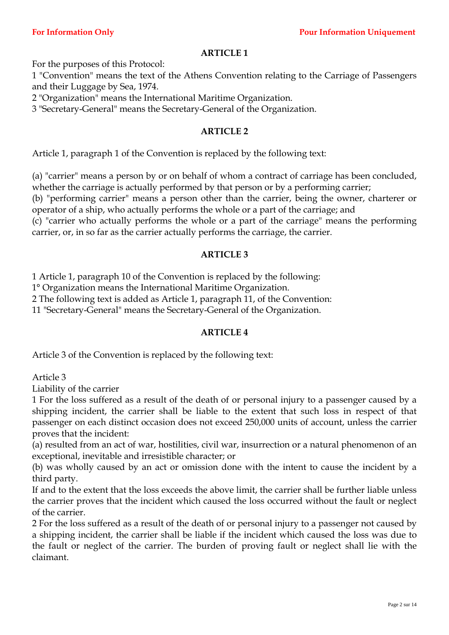### **ARTICLE 1**

For the purposes of this Protocol:

1 "Convention" means the text of the Athens Convention relating to the Carriage of Passengers and their Luggage by Sea, 1974.

2 "Organization" means the International Maritime Organization.

3 "Secretary-General" means the Secretary-General of the Organization.

## **ARTICLE 2**

Article 1, paragraph 1 of the Convention is replaced by the following text:

(a) "carrier" means a person by or on behalf of whom a contract of carriage has been concluded, whether the carriage is actually performed by that person or by a performing carrier;

(b) "performing carrier" means a person other than the carrier, being the owner, charterer or operator of a ship, who actually performs the whole or a part of the carriage; and

(c) "carrier who actually performs the whole or a part of the carriage" means the performing carrier, or, in so far as the carrier actually performs the carriage, the carrier.

### **ARTICLE 3**

1 Article 1, paragraph 10 of the Convention is replaced by the following:

1° Organization means the International Maritime Organization.

2 The following text is added as Article 1, paragraph 11, of the Convention:

11 "Secretary-General" means the Secretary-General of the Organization.

### **ARTICLE 4**

Article 3 of the Convention is replaced by the following text:

Article 3

Liability of the carrier

1 For the loss suffered as a result of the death of or personal injury to a passenger caused by a shipping incident, the carrier shall be liable to the extent that such loss in respect of that passenger on each distinct occasion does not exceed 250,000 units of account, unless the carrier proves that the incident:

(a) resulted from an act of war, hostilities, civil war, insurrection or a natural phenomenon of an exceptional, inevitable and irresistible character; or

(b) was wholly caused by an act or omission done with the intent to cause the incident by a third party.

If and to the extent that the loss exceeds the above limit, the carrier shall be further liable unless the carrier proves that the incident which caused the loss occurred without the fault or neglect of the carrier.

2 For the loss suffered as a result of the death of or personal injury to a passenger not caused by a shipping incident, the carrier shall be liable if the incident which caused the loss was due to the fault or neglect of the carrier. The burden of proving fault or neglect shall lie with the claimant.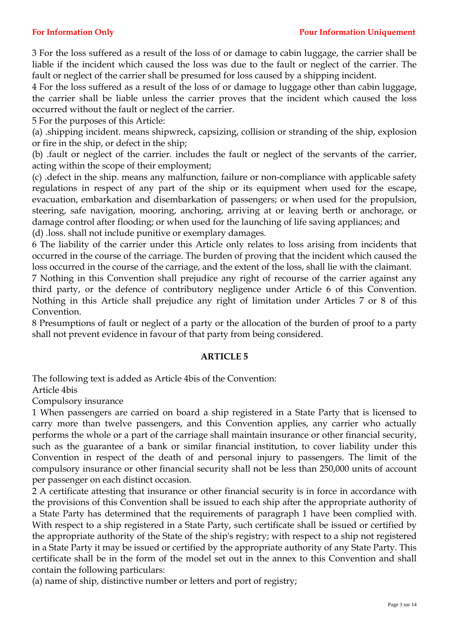3 For the loss suffered as a result of the loss of or damage to cabin luggage, the carrier shall be liable if the incident which caused the loss was due to the fault or neglect of the carrier. The fault or neglect of the carrier shall be presumed for loss caused by a shipping incident.

4 For the loss suffered as a result of the loss of or damage to luggage other than cabin luggage, the carrier shall be liable unless the carrier proves that the incident which caused the loss occurred without the fault or neglect of the carrier.

5 For the purposes of this Article:

(a) .shipping incident. means shipwreck, capsizing, collision or stranding of the ship, explosion or fire in the ship, or defect in the ship;

(b) .fault or neglect of the carrier. includes the fault or neglect of the servants of the carrier, acting within the scope of their employment;

(c) .defect in the ship. means any malfunction, failure or non-compliance with applicable safety regulations in respect of any part of the ship or its equipment when used for the escape, evacuation, embarkation and disembarkation of passengers; or when used for the propulsion, steering, safe navigation, mooring, anchoring, arriving at or leaving berth or anchorage, or damage control after flooding; or when used for the launching of life saving appliances; and (d) .loss. shall not include punitive or exemplary damages.

6 The liability of the carrier under this Article only relates to loss arising from incidents that occurred in the course of the carriage. The burden of proving that the incident which caused the loss occurred in the course of the carriage, and the extent of the loss, shall lie with the claimant.

7 Nothing in this Convention shall prejudice any right of recourse of the carrier against any third party, or the defence of contributory negligence under Article 6 of this Convention. Nothing in this Article shall prejudice any right of limitation under Articles 7 or 8 of this Convention.

8 Presumptions of fault or neglect of a party or the allocation of the burden of proof to a party shall not prevent evidence in favour of that party from being considered.

### **ARTICLE 5**

The following text is added as Article 4bis of the Convention:

Article 4bis

Compulsory insurance

1 When passengers are carried on board a ship registered in a State Party that is licensed to carry more than twelve passengers, and this Convention applies, any carrier who actually performs the whole or a part of the carriage shall maintain insurance or other financial security, such as the guarantee of a bank or similar financial institution, to cover liability under this Convention in respect of the death of and personal injury to passengers. The limit of the compulsory insurance or other financial security shall not be less than 250,000 units of account per passenger on each distinct occasion.

2 A certificate attesting that insurance or other financial security is in force in accordance with the provisions of this Convention shall be issued to each ship after the appropriate authority of a State Party has determined that the requirements of paragraph 1 have been complied with. With respect to a ship registered in a State Party, such certificate shall be issued or certified by the appropriate authority of the State of the ship's registry; with respect to a ship not registered in a State Party it may be issued or certified by the appropriate authority of any State Party. This certificate shall be in the form of the model set out in the annex to this Convention and shall contain the following particulars:

(a) name of ship, distinctive number or letters and port of registry;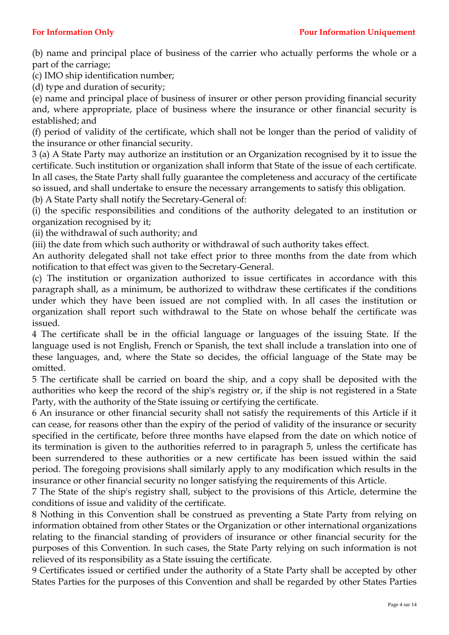(b) name and principal place of business of the carrier who actually performs the whole or a part of the carriage;

(c) IMO ship identification number;

(d) type and duration of security;

(e) name and principal place of business of insurer or other person providing financial security and, where appropriate, place of business where the insurance or other financial security is established; and

(f) period of validity of the certificate, which shall not be longer than the period of validity of the insurance or other financial security.

3 (a) A State Party may authorize an institution or an Organization recognised by it to issue the certificate. Such institution or organization shall inform that State of the issue of each certificate. In all cases, the State Party shall fully guarantee the completeness and accuracy of the certificate so issued, and shall undertake to ensure the necessary arrangements to satisfy this obligation.

(b) A State Party shall notify the Secretary-General of:

(i) the specific responsibilities and conditions of the authority delegated to an institution or organization recognised by it;

(ii) the withdrawal of such authority; and

(iii) the date from which such authority or withdrawal of such authority takes effect.

An authority delegated shall not take effect prior to three months from the date from which notification to that effect was given to the Secretary-General.

(c) The institution or organization authorized to issue certificates in accordance with this paragraph shall, as a minimum, be authorized to withdraw these certificates if the conditions under which they have been issued are not complied with. In all cases the institution or organization shall report such withdrawal to the State on whose behalf the certificate was issued.

4 The certificate shall be in the official language or languages of the issuing State. If the language used is not English, French or Spanish, the text shall include a translation into one of these languages, and, where the State so decides, the official language of the State may be omitted.

5 The certificate shall be carried on board the ship, and a copy shall be deposited with the authorities who keep the record of the ship's registry or, if the ship is not registered in a State Party, with the authority of the State issuing or certifying the certificate.

6 An insurance or other financial security shall not satisfy the requirements of this Article if it can cease, for reasons other than the expiry of the period of validity of the insurance or security specified in the certificate, before three months have elapsed from the date on which notice of its termination is given to the authorities referred to in paragraph 5, unless the certificate has been surrendered to these authorities or a new certificate has been issued within the said period. The foregoing provisions shall similarly apply to any modification which results in the insurance or other financial security no longer satisfying the requirements of this Article.

7 The State of the ship's registry shall, subject to the provisions of this Article, determine the conditions of issue and validity of the certificate.

8 Nothing in this Convention shall be construed as preventing a State Party from relying on information obtained from other States or the Organization or other international organizations relating to the financial standing of providers of insurance or other financial security for the purposes of this Convention. In such cases, the State Party relying on such information is not relieved of its responsibility as a State issuing the certificate.

9 Certificates issued or certified under the authority of a State Party shall be accepted by other States Parties for the purposes of this Convention and shall be regarded by other States Parties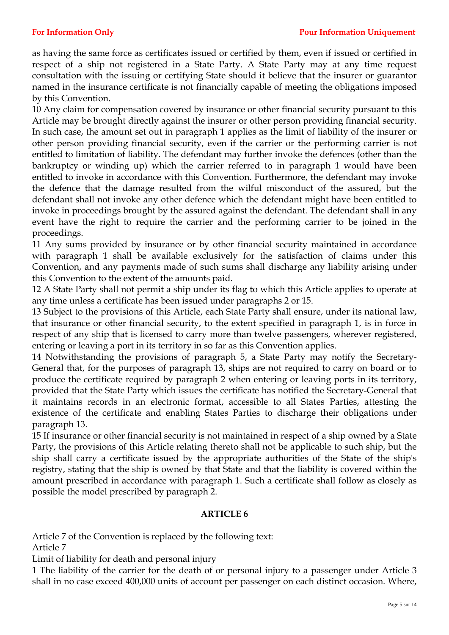as having the same force as certificates issued or certified by them, even if issued or certified in respect of a ship not registered in a State Party. A State Party may at any time request consultation with the issuing or certifying State should it believe that the insurer or guarantor named in the insurance certificate is not financially capable of meeting the obligations imposed by this Convention.

10 Any claim for compensation covered by insurance or other financial security pursuant to this Article may be brought directly against the insurer or other person providing financial security. In such case, the amount set out in paragraph 1 applies as the limit of liability of the insurer or other person providing financial security, even if the carrier or the performing carrier is not entitled to limitation of liability. The defendant may further invoke the defences (other than the bankruptcy or winding up) which the carrier referred to in paragraph 1 would have been entitled to invoke in accordance with this Convention. Furthermore, the defendant may invoke the defence that the damage resulted from the wilful misconduct of the assured, but the defendant shall not invoke any other defence which the defendant might have been entitled to invoke in proceedings brought by the assured against the defendant. The defendant shall in any event have the right to require the carrier and the performing carrier to be joined in the proceedings.

11 Any sums provided by insurance or by other financial security maintained in accordance with paragraph 1 shall be available exclusively for the satisfaction of claims under this Convention, and any payments made of such sums shall discharge any liability arising under this Convention to the extent of the amounts paid.

12 A State Party shall not permit a ship under its flag to which this Article applies to operate at any time unless a certificate has been issued under paragraphs 2 or 15.

13 Subject to the provisions of this Article, each State Party shall ensure, under its national law, that insurance or other financial security, to the extent specified in paragraph 1, is in force in respect of any ship that is licensed to carry more than twelve passengers, wherever registered, entering or leaving a port in its territory in so far as this Convention applies.

14 Notwithstanding the provisions of paragraph 5, a State Party may notify the Secretary-General that, for the purposes of paragraph 13, ships are not required to carry on board or to produce the certificate required by paragraph 2 when entering or leaving ports in its territory, provided that the State Party which issues the certificate has notified the Secretary-General that it maintains records in an electronic format, accessible to all States Parties, attesting the existence of the certificate and enabling States Parties to discharge their obligations under paragraph 13.

15 If insurance or other financial security is not maintained in respect of a ship owned by a State Party, the provisions of this Article relating thereto shall not be applicable to such ship, but the ship shall carry a certificate issued by the appropriate authorities of the State of the ship's registry, stating that the ship is owned by that State and that the liability is covered within the amount prescribed in accordance with paragraph 1. Such a certificate shall follow as closely as possible the model prescribed by paragraph 2.

### **ARTICLE 6**

Article 7 of the Convention is replaced by the following text:

Article 7

Limit of liability for death and personal injury

1 The liability of the carrier for the death of or personal injury to a passenger under Article 3 shall in no case exceed 400,000 units of account per passenger on each distinct occasion. Where,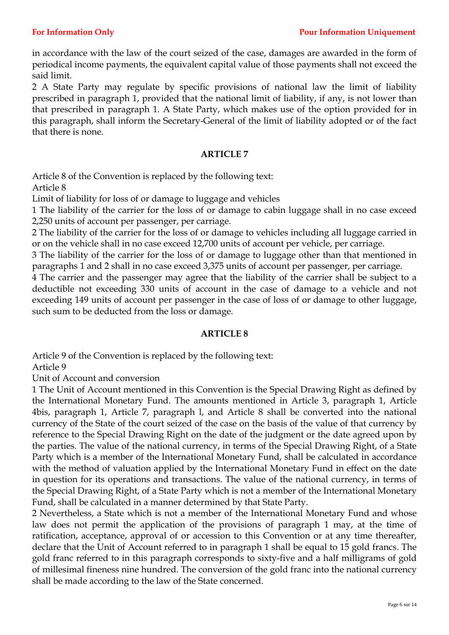in accordance with the law of the court seized of the case, damages are awarded in the form of periodical income payments, the equivalent capital value of those payments shall not exceed the said limit.

2 A State Party may regulate by specific provisions of national law the limit of liability prescribed in paragraph 1, provided that the national limit of liability, if any, is not lower than that prescribed in paragraph 1. A State Party, which makes use of the option provided for in this paragraph, shall inform the Secretary-General of the limit of liability adopted or of the fact that there is none.

## **ARTICLE 7**

Article 8 of the Convention is replaced by the following text:

Article 8

Limit of liability for loss of or damage to luggage and vehicles

1 The liability of the carrier for the loss of or damage to cabin luggage shall in no case exceed 2,250 units of account per passenger, per carriage.

2 The liability of the carrier for the loss of or damage to vehicles including all luggage carried in or on the vehicle shall in no case exceed 12,700 units of account per vehicle, per carriage.

3 The liability of the carrier for the loss of or damage to luggage other than that mentioned in paragraphs 1 and 2 shall in no case exceed 3,375 units of account per passenger, per carriage.

4 The carrier and the passenger may agree that the liability of the carrier shall be subject to a deductible not exceeding 330 units of account in the case of damage to a vehicle and not exceeding 149 units of account per passenger in the case of loss of or damage to other luggage, such sum to be deducted from the loss or damage.

### **ARTICLE 8**

Article 9 of the Convention is replaced by the following text:

Article 9

Unit of Account and conversion

1 The Unit of Account mentioned in this Convention is the Special Drawing Right as defined by the International Monetary Fund. The amounts mentioned in Article 3, paragraph 1, Article 4bis, paragraph 1, Article 7, paragraph l, and Article 8 shall be converted into the national currency of the State of the court seized of the case on the basis of the value of that currency by reference to the Special Drawing Right on the date of the judgment or the date agreed upon by the parties. The value of the national currency, in terms of the Special Drawing Right, of a State Party which is a member of the International Monetary Fund, shall be calculated in accordance with the method of valuation applied by the International Monetary Fund in effect on the date in question for its operations and transactions. The value of the national currency, in terms of the Special Drawing Right, of a State Party which is not a member of the International Monetary Fund, shall be calculated in a manner determined by that State Party.

2 Nevertheless, a State which is not a member of the International Monetary Fund and whose law does not permit the application of the provisions of paragraph 1 may, at the time of ratification, acceptance, approval of or accession to this Convention or at any time thereafter, declare that the Unit of Account referred to in paragraph 1 shall be equal to 15 gold francs. The gold franc referred to in this paragraph corresponds to sixty-five and a half milligrams of gold of millesimal fineness nine hundred. The conversion of the gold franc into the national currency shall be made according to the law of the State concerned.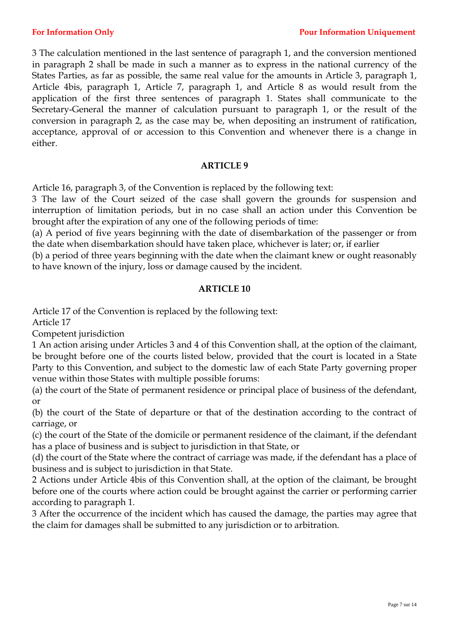3 The calculation mentioned in the last sentence of paragraph 1, and the conversion mentioned in paragraph 2 shall be made in such a manner as to express in the national currency of the States Parties, as far as possible, the same real value for the amounts in Article 3, paragraph 1, Article 4bis, paragraph 1, Article 7, paragraph 1, and Article 8 as would result from the application of the first three sentences of paragraph 1. States shall communicate to the Secretary-General the manner of calculation pursuant to paragraph 1, or the result of the conversion in paragraph 2, as the case may be, when depositing an instrument of ratification, acceptance, approval of or accession to this Convention and whenever there is a change in either.

## **ARTICLE 9**

Article 16, paragraph 3, of the Convention is replaced by the following text:

3 The law of the Court seized of the case shall govern the grounds for suspension and interruption of limitation periods, but in no case shall an action under this Convention be brought after the expiration of any one of the following periods of time:

(a) A period of five years beginning with the date of disembarkation of the passenger or from the date when disembarkation should have taken place, whichever is later; or, if earlier

(b) a period of three years beginning with the date when the claimant knew or ought reasonably to have known of the injury, loss or damage caused by the incident.

### **ARTICLE 10**

Article 17 of the Convention is replaced by the following text:

Article 17

Competent jurisdiction

1 An action arising under Articles 3 and 4 of this Convention shall, at the option of the claimant, be brought before one of the courts listed below, provided that the court is located in a State Party to this Convention, and subject to the domestic law of each State Party governing proper venue within those States with multiple possible forums:

(a) the court of the State of permanent residence or principal place of business of the defendant, or

(b) the court of the State of departure or that of the destination according to the contract of carriage, or

(c) the court of the State of the domicile or permanent residence of the claimant, if the defendant has a place of business and is subject to jurisdiction in that State, or

(d) the court of the State where the contract of carriage was made, if the defendant has a place of business and is subject to jurisdiction in that State.

2 Actions under Article 4bis of this Convention shall, at the option of the claimant, be brought before one of the courts where action could be brought against the carrier or performing carrier according to paragraph 1.

3 After the occurrence of the incident which has caused the damage, the parties may agree that the claim for damages shall be submitted to any jurisdiction or to arbitration.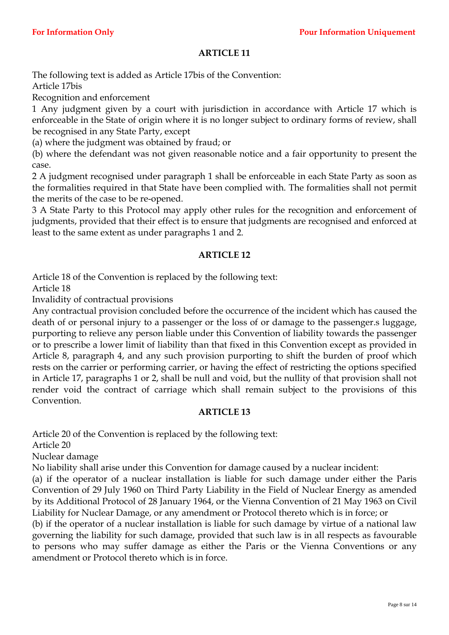# **ARTICLE 11**

The following text is added as Article 17bis of the Convention:

Article 17bis

Recognition and enforcement

1 Any judgment given by a court with jurisdiction in accordance with Article 17 which is enforceable in the State of origin where it is no longer subject to ordinary forms of review, shall be recognised in any State Party, except

(a) where the judgment was obtained by fraud; or

(b) where the defendant was not given reasonable notice and a fair opportunity to present the case.

2 A judgment recognised under paragraph 1 shall be enforceable in each State Party as soon as the formalities required in that State have been complied with. The formalities shall not permit the merits of the case to be re-opened.

3 A State Party to this Protocol may apply other rules for the recognition and enforcement of judgments, provided that their effect is to ensure that judgments are recognised and enforced at least to the same extent as under paragraphs 1 and 2.

## **ARTICLE 12**

Article 18 of the Convention is replaced by the following text:

Article 18

Invalidity of contractual provisions

Any contractual provision concluded before the occurrence of the incident which has caused the death of or personal injury to a passenger or the loss of or damage to the passenger.s luggage, purporting to relieve any person liable under this Convention of liability towards the passenger or to prescribe a lower limit of liability than that fixed in this Convention except as provided in Article 8, paragraph 4, and any such provision purporting to shift the burden of proof which rests on the carrier or performing carrier, or having the effect of restricting the options specified in Article 17, paragraphs 1 or 2, shall be null and void, but the nullity of that provision shall not render void the contract of carriage which shall remain subject to the provisions of this Convention.

### **ARTICLE 13**

Article 20 of the Convention is replaced by the following text:

Article 20

Nuclear damage

No liability shall arise under this Convention for damage caused by a nuclear incident:

(a) if the operator of a nuclear installation is liable for such damage under either the Paris Convention of 29 July 1960 on Third Party Liability in the Field of Nuclear Energy as amended by its Additional Protocol of 28 January 1964, or the Vienna Convention of 21 May 1963 on Civil Liability for Nuclear Damage, or any amendment or Protocol thereto which is in force; or

(b) if the operator of a nuclear installation is liable for such damage by virtue of a national law governing the liability for such damage, provided that such law is in all respects as favourable to persons who may suffer damage as either the Paris or the Vienna Conventions or any amendment or Protocol thereto which is in force.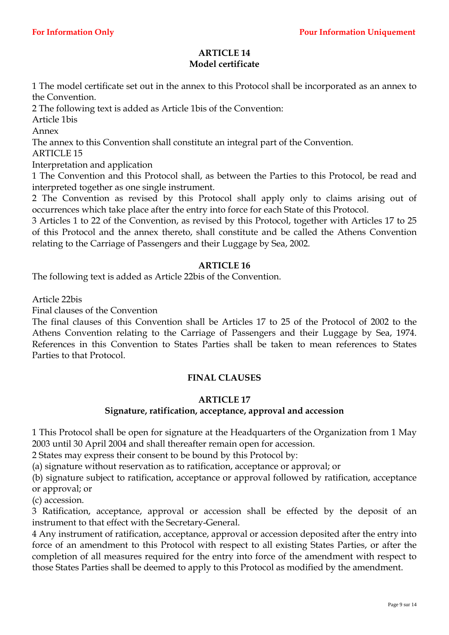### **ARTICLE 14 Model certificate**

1 The model certificate set out in the annex to this Protocol shall be incorporated as an annex to the Convention.

2 The following text is added as Article 1bis of the Convention:

Article 1bis

Annex

The annex to this Convention shall constitute an integral part of the Convention.

ARTICLE 15

Interpretation and application

1 The Convention and this Protocol shall, as between the Parties to this Protocol, be read and interpreted together as one single instrument.

2 The Convention as revised by this Protocol shall apply only to claims arising out of occurrences which take place after the entry into force for each State of this Protocol.

3 Articles 1 to 22 of the Convention, as revised by this Protocol, together with Articles 17 to 25 of this Protocol and the annex thereto, shall constitute and be called the Athens Convention relating to the Carriage of Passengers and their Luggage by Sea, 2002.

### **ARTICLE 16**

The following text is added as Article 22bis of the Convention.

Article 22bis

Final clauses of the Convention

The final clauses of this Convention shall be Articles 17 to 25 of the Protocol of 2002 to the Athens Convention relating to the Carriage of Passengers and their Luggage by Sea, 1974. References in this Convention to States Parties shall be taken to mean references to States Parties to that Protocol.

### **FINAL CLAUSES**

### **ARTICLE 17**

## **Signature, ratification, acceptance, approval and accession**

1 This Protocol shall be open for signature at the Headquarters of the Organization from 1 May 2003 until 30 April 2004 and shall thereafter remain open for accession.

2 States may express their consent to be bound by this Protocol by:

(a) signature without reservation as to ratification, acceptance or approval; or

(b) signature subject to ratification, acceptance or approval followed by ratification, acceptance or approval; or

(c) accession.

3 Ratification, acceptance, approval or accession shall be effected by the deposit of an instrument to that effect with the Secretary-General.

4 Any instrument of ratification, acceptance, approval or accession deposited after the entry into force of an amendment to this Protocol with respect to all existing States Parties, or after the completion of all measures required for the entry into force of the amendment with respect to those States Parties shall be deemed to apply to this Protocol as modified by the amendment.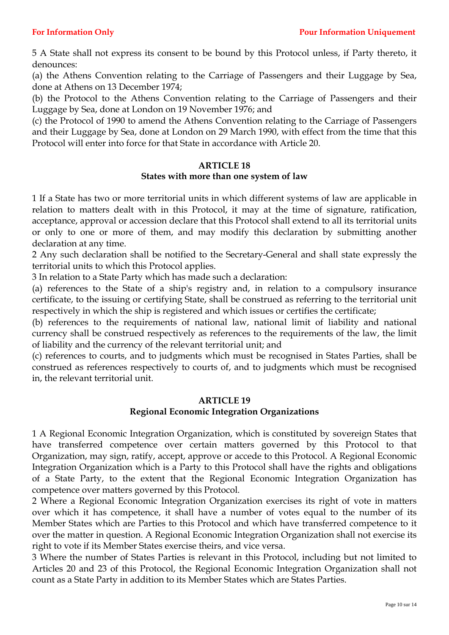5 A State shall not express its consent to be bound by this Protocol unless, if Party thereto, it denounces:

(a) the Athens Convention relating to the Carriage of Passengers and their Luggage by Sea, done at Athens on 13 December 1974;

(b) the Protocol to the Athens Convention relating to the Carriage of Passengers and their Luggage by Sea, done at London on 19 November 1976; and

(c) the Protocol of 1990 to amend the Athens Convention relating to the Carriage of Passengers and their Luggage by Sea, done at London on 29 March 1990, with effect from the time that this Protocol will enter into force for that State in accordance with Article 20.

### **ARTICLE 18 States with more than one system of law**

1 If a State has two or more territorial units in which different systems of law are applicable in relation to matters dealt with in this Protocol, it may at the time of signature, ratification, acceptance, approval or accession declare that this Protocol shall extend to all its territorial units or only to one or more of them, and may modify this declaration by submitting another declaration at any time.

2 Any such declaration shall be notified to the Secretary-General and shall state expressly the territorial units to which this Protocol applies.

3 In relation to a State Party which has made such a declaration:

(a) references to the State of a ship's registry and, in relation to a compulsory insurance certificate, to the issuing or certifying State, shall be construed as referring to the territorial unit respectively in which the ship is registered and which issues or certifies the certificate;

(b) references to the requirements of national law, national limit of liability and national currency shall be construed respectively as references to the requirements of the law, the limit of liability and the currency of the relevant territorial unit; and

(c) references to courts, and to judgments which must be recognised in States Parties, shall be construed as references respectively to courts of, and to judgments which must be recognised in, the relevant territorial unit.

#### **ARTICLE 19 Regional Economic Integration Organizations**

1 A Regional Economic Integration Organization, which is constituted by sovereign States that have transferred competence over certain matters governed by this Protocol to that Organization, may sign, ratify, accept, approve or accede to this Protocol. A Regional Economic Integration Organization which is a Party to this Protocol shall have the rights and obligations of a State Party, to the extent that the Regional Economic Integration Organization has competence over matters governed by this Protocol.

2 Where a Regional Economic Integration Organization exercises its right of vote in matters over which it has competence, it shall have a number of votes equal to the number of its Member States which are Parties to this Protocol and which have transferred competence to it over the matter in question. A Regional Economic Integration Organization shall not exercise its right to vote if its Member States exercise theirs, and vice versa.

3 Where the number of States Parties is relevant in this Protocol, including but not limited to Articles 20 and 23 of this Protocol, the Regional Economic Integration Organization shall not count as a State Party in addition to its Member States which are States Parties.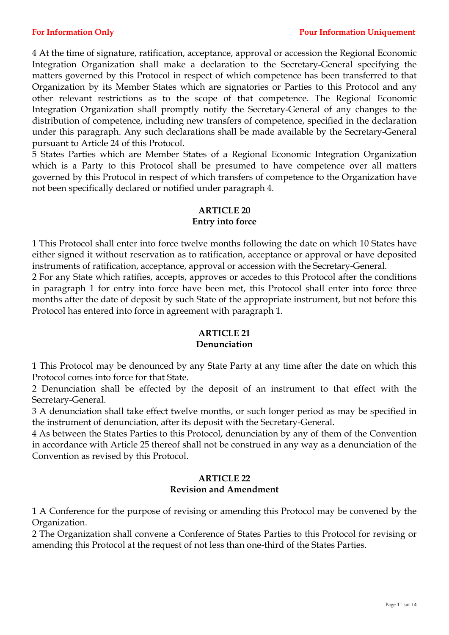4 At the time of signature, ratification, acceptance, approval or accession the Regional Economic Integration Organization shall make a declaration to the Secretary-General specifying the matters governed by this Protocol in respect of which competence has been transferred to that Organization by its Member States which are signatories or Parties to this Protocol and any other relevant restrictions as to the scope of that competence. The Regional Economic Integration Organization shall promptly notify the Secretary-General of any changes to the distribution of competence, including new transfers of competence, specified in the declaration under this paragraph. Any such declarations shall be made available by the Secretary-General pursuant to Article 24 of this Protocol.

5 States Parties which are Member States of a Regional Economic Integration Organization which is a Party to this Protocol shall be presumed to have competence over all matters governed by this Protocol in respect of which transfers of competence to the Organization have not been specifically declared or notified under paragraph 4.

# **ARTICLE 20 Entry into force**

1 This Protocol shall enter into force twelve months following the date on which 10 States have either signed it without reservation as to ratification, acceptance or approval or have deposited instruments of ratification, acceptance, approval or accession with the Secretary-General.

2 For any State which ratifies, accepts, approves or accedes to this Protocol after the conditions in paragraph 1 for entry into force have been met, this Protocol shall enter into force three months after the date of deposit by such State of the appropriate instrument, but not before this Protocol has entered into force in agreement with paragraph 1.

### **ARTICLE 21 Denunciation**

1 This Protocol may be denounced by any State Party at any time after the date on which this Protocol comes into force for that State.

2 Denunciation shall be effected by the deposit of an instrument to that effect with the Secretary-General.

3 A denunciation shall take effect twelve months, or such longer period as may be specified in the instrument of denunciation, after its deposit with the Secretary-General.

4 As between the States Parties to this Protocol, denunciation by any of them of the Convention in accordance with Article 25 thereof shall not be construed in any way as a denunciation of the Convention as revised by this Protocol.

### **ARTICLE 22 Revision and Amendment**

1 A Conference for the purpose of revising or amending this Protocol may be convened by the Organization.

2 The Organization shall convene a Conference of States Parties to this Protocol for revising or amending this Protocol at the request of not less than one-third of the States Parties.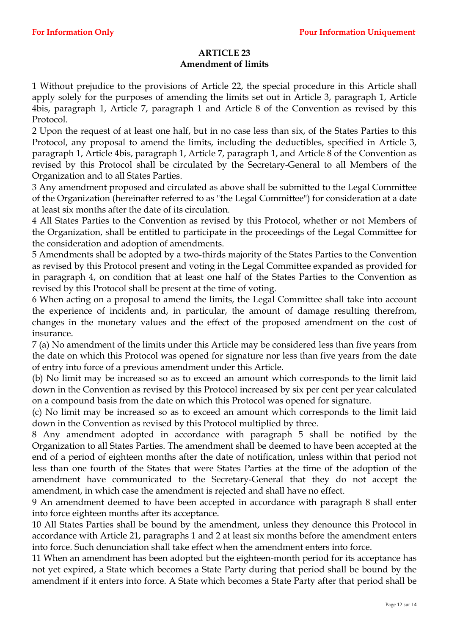# **ARTICLE 23 Amendment of limits**

1 Without prejudice to the provisions of Article 22, the special procedure in this Article shall apply solely for the purposes of amending the limits set out in Article 3, paragraph 1, Article 4bis, paragraph 1, Article 7, paragraph 1 and Article 8 of the Convention as revised by this Protocol.

2 Upon the request of at least one half, but in no case less than six, of the States Parties to this Protocol, any proposal to amend the limits, including the deductibles, specified in Article 3, paragraph 1, Article 4bis, paragraph 1, Article 7, paragraph 1, and Article 8 of the Convention as revised by this Protocol shall be circulated by the Secretary-General to all Members of the Organization and to all States Parties.

3 Any amendment proposed and circulated as above shall be submitted to the Legal Committee of the Organization (hereinafter referred to as "the Legal Committee") for consideration at a date at least six months after the date of its circulation.

4 All States Parties to the Convention as revised by this Protocol, whether or not Members of the Organization, shall be entitled to participate in the proceedings of the Legal Committee for the consideration and adoption of amendments.

5 Amendments shall be adopted by a two-thirds majority of the States Parties to the Convention as revised by this Protocol present and voting in the Legal Committee expanded as provided for in paragraph 4, on condition that at least one half of the States Parties to the Convention as revised by this Protocol shall be present at the time of voting.

6 When acting on a proposal to amend the limits, the Legal Committee shall take into account the experience of incidents and, in particular, the amount of damage resulting therefrom, changes in the monetary values and the effect of the proposed amendment on the cost of insurance.

7 (a) No amendment of the limits under this Article may be considered less than five years from the date on which this Protocol was opened for signature nor less than five years from the date of entry into force of a previous amendment under this Article.

(b) No limit may be increased so as to exceed an amount which corresponds to the limit laid down in the Convention as revised by this Protocol increased by six per cent per year calculated on a compound basis from the date on which this Protocol was opened for signature.

(c) No limit may be increased so as to exceed an amount which corresponds to the limit laid down in the Convention as revised by this Protocol multiplied by three.

8 Any amendment adopted in accordance with paragraph 5 shall be notified by the Organization to all States Parties. The amendment shall be deemed to have been accepted at the end of a period of eighteen months after the date of notification, unless within that period not less than one fourth of the States that were States Parties at the time of the adoption of the amendment have communicated to the Secretary-General that they do not accept the amendment, in which case the amendment is rejected and shall have no effect.

9 An amendment deemed to have been accepted in accordance with paragraph 8 shall enter into force eighteen months after its acceptance.

10 All States Parties shall be bound by the amendment, unless they denounce this Protocol in accordance with Article 21, paragraphs 1 and 2 at least six months before the amendment enters into force. Such denunciation shall take effect when the amendment enters into force.

11 When an amendment has been adopted but the eighteen-month period for its acceptance has not yet expired, a State which becomes a State Party during that period shall be bound by the amendment if it enters into force. A State which becomes a State Party after that period shall be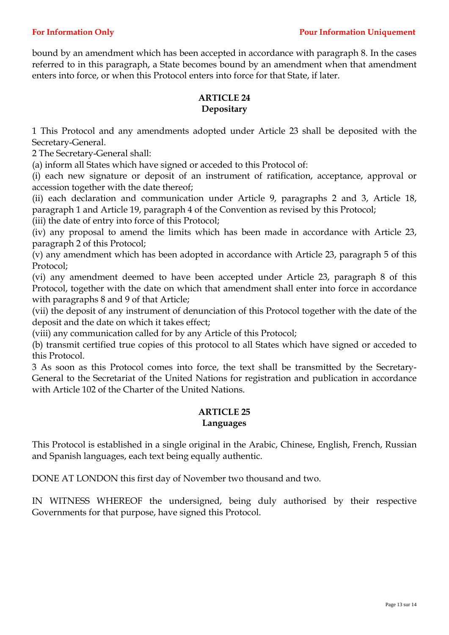bound by an amendment which has been accepted in accordance with paragraph 8. In the cases referred to in this paragraph, a State becomes bound by an amendment when that amendment enters into force, or when this Protocol enters into force for that State, if later.

## **ARTICLE 24 Depositary**

1 This Protocol and any amendments adopted under Article 23 shall be deposited with the Secretary-General.

2 The Secretary-General shall:

(a) inform all States which have signed or acceded to this Protocol of:

(i) each new signature or deposit of an instrument of ratification, acceptance, approval or accession together with the date thereof;

(ii) each declaration and communication under Article 9, paragraphs 2 and 3, Article 18, paragraph 1 and Article 19, paragraph 4 of the Convention as revised by this Protocol;

(iii) the date of entry into force of this Protocol;

(iv) any proposal to amend the limits which has been made in accordance with Article 23, paragraph 2 of this Protocol;

(v) any amendment which has been adopted in accordance with Article 23, paragraph 5 of this Protocol;

(vi) any amendment deemed to have been accepted under Article 23, paragraph 8 of this Protocol, together with the date on which that amendment shall enter into force in accordance with paragraphs 8 and 9 of that Article;

(vii) the deposit of any instrument of denunciation of this Protocol together with the date of the deposit and the date on which it takes effect;

(viii) any communication called for by any Article of this Protocol;

(b) transmit certified true copies of this protocol to all States which have signed or acceded to this Protocol.

3 As soon as this Protocol comes into force, the text shall be transmitted by the Secretary-General to the Secretariat of the United Nations for registration and publication in accordance with Article 102 of the Charter of the United Nations.

### **ARTICLE 25 Languages**

This Protocol is established in a single original in the Arabic, Chinese, English, French, Russian and Spanish languages, each text being equally authentic.

DONE AT LONDON this first day of November two thousand and two.

IN WITNESS WHEREOF the undersigned, being duly authorised by their respective Governments for that purpose, have signed this Protocol.